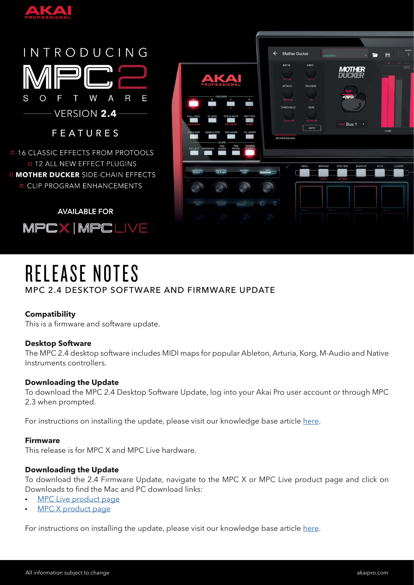

#### INTRODUCING S W  $\overline{\mathsf{R}}$ E  $\overline{O}$ F Τ A **VERSION 2.4 FEATURES**

**□ 16 CLASSIC EFFECTS FROM PROTOOLS 0 12 ALL NEW EFFECT PLUGINS IN MOTHER DUCKER SIDE-CHAIN EFFECTS D CLIP PROGRAM ENHANCEMENTS** 

**AVAILABLE FOR** MPCX | MPCLIVE



# RELEASE NOTES MPC 2.4 DESKTOP SOFTWARE AND FIRMWARE UPDATE

# **Compatibility**

This is a firmware and software update.

## **Desktop Software**

The MPC 2.4 desktop software includes MIDI maps for popular Ableton, Arturia, Korg, M-Audio and Native Instruments controllers.

## **Downloading the Update**

To download the MPC 2.4 Desktop Software Update, log into your Akai Pro user account or through MPC 2.3 when prompted.

For instructions on installing the update, please visit our knowledge base article [here.](http://akaipro.com/support/kb/articles/akai-pro-mpc-software-2.0---downloading-and-installing-the-mpc-2.3-update)

## **Firmware**

This release is for MPC X and MPC Live hardware.

## **Downloading the Update**

To download the 2.4 Firmware Update, navigate to the MPC X or MPC Live product page and click on Downloads to find the Mac and PC download links:

- [MPC Live product page](http://www.akaipro.com/products/mpc-series/mpc-live)
- [MPC X product page](http://www.akaipro.com/products/mpc-series/mpc-x)

For instructions on installing the update, please visit our knowledge base article [here.](http://www.akaipro.com/support/kb/articles/akai-pro-mpc-x-and-mpc-live-firmware-update-2.3-walkthrough)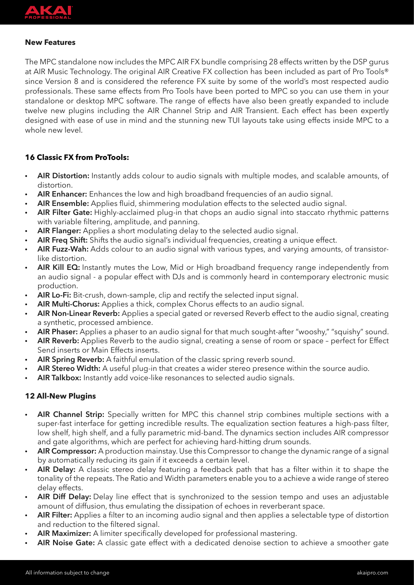

## **New Features**

The MPC standalone now includes the MPC AIR FX bundle comprising 28 effects written by the DSP gurus at AIR Music Technology. The original AIR Creative FX collection has been included as part of Pro Tools® since Version 8 and is considered the reference FX suite by some of the world's most respected audio professionals. These same effects from Pro Tools have been ported to MPC so you can use them in your standalone or desktop MPC software. The range of effects have also been greatly expanded to include twelve new plugins including the AIR Channel Strip and AIR Transient. Each effect has been expertly designed with ease of use in mind and the stunning new TUI layouts take using effects inside MPC to a whole new level.

## **16 Classic FX from ProTools:**

- **AIR Distortion:** Instantly adds colour to audio signals with multiple modes, and scalable amounts, of distortion.
- **AIR Enhancer:** Enhances the low and high broadband frequencies of an audio signal.
- **AIR Ensemble:** Applies fluid, shimmering modulation effects to the selected audio signal.
- **AIR Filter Gate:** Highly-acclaimed plug-in that chops an audio signal into staccato rhythmic patterns with variable filtering, amplitude, and panning.
- **AIR Flanger:** Applies a short modulating delay to the selected audio signal.
- **AIR Freq Shift:** Shifts the audio signal's individual frequencies, creating a unique effect.
- **AIR Fuzz-Wah:** Adds colour to an audio signal with various types, and varying amounts, of transistorlike distortion.
- **AIR Kill EQ:** Instantly mutes the Low, Mid or High broadband frequency range independently from an audio signal - a popular effect with DJs and is commonly heard in contemporary electronic music production.
- **AIR Lo-Fi:** Bit-crush, down-sample, clip and rectify the selected input signal.
- **AIR Multi-Chorus:** Applies a thick, complex Chorus effects to an audio signal.
- **AIR Non-Linear Reverb:** Applies a special gated or reversed Reverb effect to the audio signal, creating a synthetic, processed ambience.
- **AIR Phaser:** Applies a phaser to an audio signal for that much sought-after "wooshy," "squishy" sound.
- **AIR Reverb:** Applies Reverb to the audio signal, creating a sense of room or space perfect for Effect Send inserts or Main Effects inserts.
- **AIR Spring Reverb:** A faithful emulation of the classic spring reverb sound.
- **AIR Stereo Width:** A useful plug-in that creates a wider stereo presence within the source audio.
- **AIR Talkbox:** Instantly add voice-like resonances to selected audio signals.

## **12 All-New Plugins**

- **AIR Channel Strip:** Specially written for MPC this channel strip combines multiple sections with a super-fast interface for getting incredible results. The equalization section features a high-pass filter, low shelf, high shelf, and a fully parametric mid-band. The dynamics section includes AIR compressor and gate algorithms, which are perfect for achieving hard-hitting drum sounds.
- **AIR Compressor:** A production mainstay. Use this Compressor to change the dynamic range of a signal by automatically reducing its gain if it exceeds a certain level.
- **AIR Delay:** A classic stereo delay featuring a feedback path that has a filter within it to shape the tonality of the repeats. The Ratio and Width parameters enable you to a achieve a wide range of stereo delay effects.
- **AIR Diff Delay:** Delay line effect that is synchronized to the session tempo and uses an adjustable amount of diffusion, thus emulating the dissipation of echoes in reverberant space.
- **AIR Filter:** Applies a filter to an incoming audio signal and then applies a selectable type of distortion and reduction to the filtered signal.
- **AIR Maximizer:** A limiter specifically developed for professional mastering.
- **AIR Noise Gate:** A classic gate effect with a dedicated denoise section to achieve a smoother gate